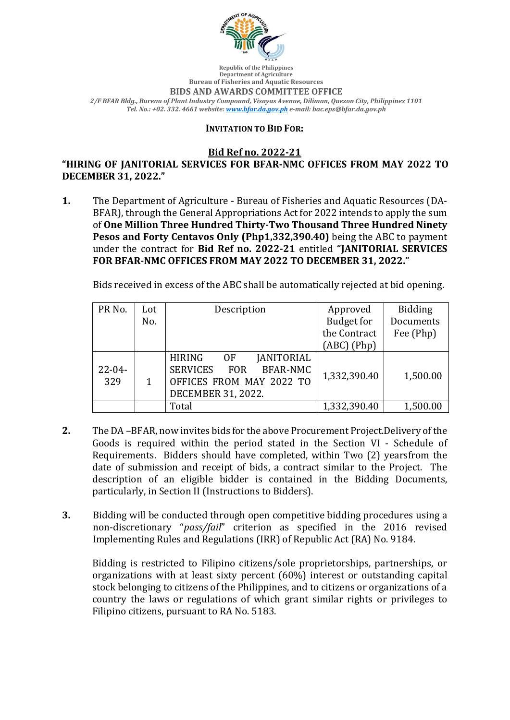

**Republic of the Philippines Department of Agriculture Bureau of Fisheries and Aquatic Resources BIDS AND AWARDS COMMITTEE OFFICE** *2/F BFAR Bldg., Bureau of Plant Industry Compound, Visayas Avenue, Diliman, Quezon City, Philippines 1101 Tel. No.: +02. 332. 4661 website: www.bfar.da.gov.ph e-mail: bac.eps@bfar.da.gov.ph*

## **INVITATION TO BID FOR:**

**Bid Ref no. 2022-21**

"HIRING OF JANITORIAL SERVICES FOR BFAR-NMC OFFICES FROM MAY 2022 TO **DECEMBER 31, 2022."**

**1.** The Department of Agriculture - Bureau of Fisheries and Aquatic Resources (DA-BFAR), through the General Appropriations Act for 2022 intends to apply the sum of One Million Three Hundred Thirty-Two Thousand Three Hundred Ninety **Pesos and Forty Centavos Only (Php1,332,390.40)** being the ABC to payment under the contract for Bid Ref no. 2022-21 entitled "JANITORIAL SERVICES FOR BFAR-NMC OFFICES FROM MAY 2022 TO DECEMBER 31, 2022."

Bids received in excess of the ABC shall be automatically rejected at bid opening.

| PR No.             | Lot | Description                                                                                                                                    | Approved          | <b>Bidding</b> |
|--------------------|-----|------------------------------------------------------------------------------------------------------------------------------------------------|-------------------|----------------|
|                    | No. |                                                                                                                                                | <b>Budget for</b> | Documents      |
|                    |     |                                                                                                                                                | the Contract      | Fee (Php)      |
|                    |     |                                                                                                                                                | $(ABC)$ (Php)     |                |
| $22 - 04 -$<br>329 |     | <b>JANITORIAL</b><br><b>HIRING</b><br>0F<br><b>SERVICES</b><br><b>BFAR-NMC</b><br><b>FOR</b><br>OFFICES FROM MAY 2022 TO<br>DECEMBER 31, 2022. | 1,332,390.40      | 1,500.00       |
|                    |     | Total                                                                                                                                          | 1,332,390.40      | 1,500.00       |

- **2.** The DA –BFAR, now invites bids for the above Procurement Project.Delivery of the Goods is required within the period stated in the Section VI - Schedule of Requirements. Bidders should have completed, within Two (2) yearsfrom the date of submission and receipt of bids, a contract similar to the Project. The description of an eligible bidder is contained in the Bidding Documents, particularly, in Section II (Instructions to Bidders).
- **3.** Bidding will be conducted through open competitive bidding procedures using a non-discretionary "pass/fail" criterion as specified in the 2016 revised Implementing Rules and Regulations (IRR) of Republic Act (RA) No. 9184.

Bidding is restricted to Filipino citizens/sole proprietorships, partnerships, or organizations with at least sixty percent  $(60%)$  interest or outstanding capital stock belonging to citizens of the Philippines, and to citizens or organizations of a country the laws or regulations of which grant similar rights or privileges to Filipino citizens, pursuant to RA No. 5183.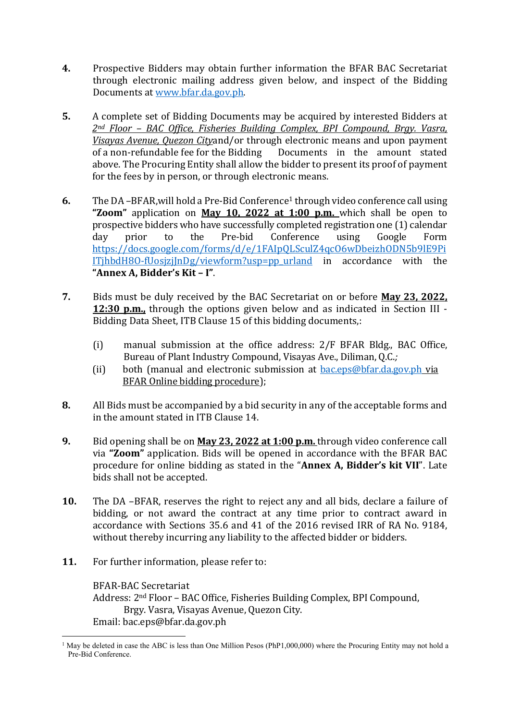- **4.** Prospective Bidders may obtain further information the BFAR BAC Secretariat through electronic mailing address given below, and inspect of the Bidding Documents at www.bfar.da.gov.ph.
- **5.** A complete set of Bidding Documents may be acquired by interested Bidders at 2<sup>nd</sup> Floor – BAC Office, Fisheries Building Complex, BPI Compound, Brgy. Vasra, *Visayas Avenue, Quezon Cityand/or through electronic means and upon payment* of a non-refundable fee for the Bidding Documents in the amount stated above. The Procuring Entity shall allow the bidder to present its proof of payment for the fees by in person, or through electronic means.
- **6.** The DA –BFAR, will hold a Pre-Bid Conference<sup>1</sup> through video conference call using **"Zoom"** application on **May 10, 2022 at 1:00 p.m.** which shall be open to prospective bidders who have successfully completed registration one (1) calendar day prior to the Pre-bid Conference using Google Form https://docs.google.com/forms/d/e/1FAIpQLSculZ4qcO6wDbeizhODN5b9lE9Pi  $IThbdH8O-fUosizjInDg/viewform?usp=pp$  urland in accordance with the **"Annex A, Bidder's Kit – I"**.
- **7.** Bids must be duly received by the BAC Secretariat on or before **May 23, 2022. 12:30 p.m.**, through the options given below and as indicated in Section III -Bidding Data Sheet, ITB Clause 15 of this bidding documents,:
	- (i) manual submission at the office address:  $2/F$  BFAR Bldg., BAC Office, Bureau of Plant Industry Compound, Visayas Ave., Diliman, O.C.;
	- (ii) both (manual and electronic submission at  $bac.eps@bfar.da.gov.ph$  via BFAR Online bidding procedure);
- **8.** All Bids must be accompanied by a bid security in any of the acceptable forms and in the amount stated in ITB Clause 14.
- **9.** Bid opening shall be on **May 23, 2022 at 1:00 p.m.** through video conference call via "**Zoom**" application. Bids will be opened in accordance with the BFAR BAC procedure for online bidding as stated in the "Annex A, Bidder's kit VII". Late bids shall not be accepted.
- **10.** The DA –BFAR, reserves the right to reject any and all bids, declare a failure of bidding, or not award the contract at any time prior to contract award in accordance with Sections 35.6 and 41 of the 2016 revised IRR of RA No. 9184, without thereby incurring any liability to the affected bidder or bidders.
- **11.** For further information, please refer to:

BFAR-BAC Secretariat Address: 2<sup>nd</sup> Floor – BAC Office, Fisheries Building Complex, BPI Compound, Brgy. Vasra, Visayas Avenue, Quezon City. Email: bac.eps@bfar.da.gov.ph

<sup>&</sup>lt;sup>1</sup> May be deleted in case the ABC is less than One Million Pesos (PhP1,000,000) where the Procuring Entity may not hold a Pre-Bid Conference.